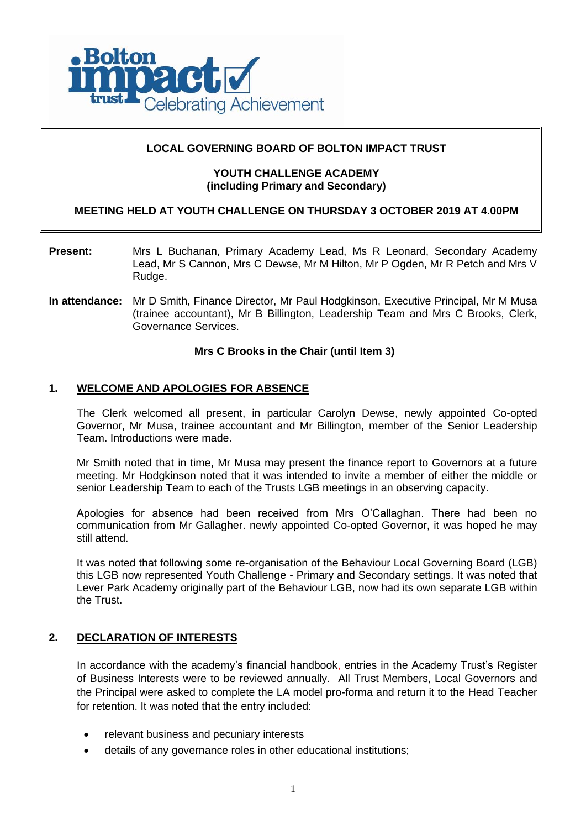

# **LOCAL GOVERNING BOARD OF BOLTON IMPACT TRUST**

# **YOUTH CHALLENGE ACADEMY (including Primary and Secondary)**

# **MEETING HELD AT YOUTH CHALLENGE ON THURSDAY 3 OCTOBER 2019 AT 4.00PM**

- **Present:** Mrs L Buchanan, Primary Academy Lead, Ms R Leonard, Secondary Academy Lead, Mr S Cannon, Mrs C Dewse, Mr M Hilton, Mr P Ogden, Mr R Petch and Mrs V Rudge.
- **In attendance:** Mr D Smith, Finance Director, Mr Paul Hodgkinson, Executive Principal, Mr M Musa (trainee accountant), Mr B Billington, Leadership Team and Mrs C Brooks, Clerk, Governance Services.

## **Mrs C Brooks in the Chair (until Item 3)**

# **1. WELCOME AND APOLOGIES FOR ABSENCE**

The Clerk welcomed all present, in particular Carolyn Dewse, newly appointed Co-opted Governor, Mr Musa, trainee accountant and Mr Billington, member of the Senior Leadership Team. Introductions were made.

Mr Smith noted that in time, Mr Musa may present the finance report to Governors at a future meeting. Mr Hodgkinson noted that it was intended to invite a member of either the middle or senior Leadership Team to each of the Trusts LGB meetings in an observing capacity.

Apologies for absence had been received from Mrs O'Callaghan. There had been no communication from Mr Gallagher. newly appointed Co-opted Governor, it was hoped he may still attend.

It was noted that following some re-organisation of the Behaviour Local Governing Board (LGB) this LGB now represented Youth Challenge - Primary and Secondary settings. It was noted that Lever Park Academy originally part of the Behaviour LGB, now had its own separate LGB within the Trust.

### **2. DECLARATION OF INTERESTS**

In accordance with the academy's financial handbook, entries in the Academy Trust's Register of Business Interests were to be reviewed annually. All Trust Members, Local Governors and the Principal were asked to complete the LA model pro-forma and return it to the Head Teacher for retention. It was noted that the entry included:

- relevant business and pecuniary interests
- details of any governance roles in other educational institutions;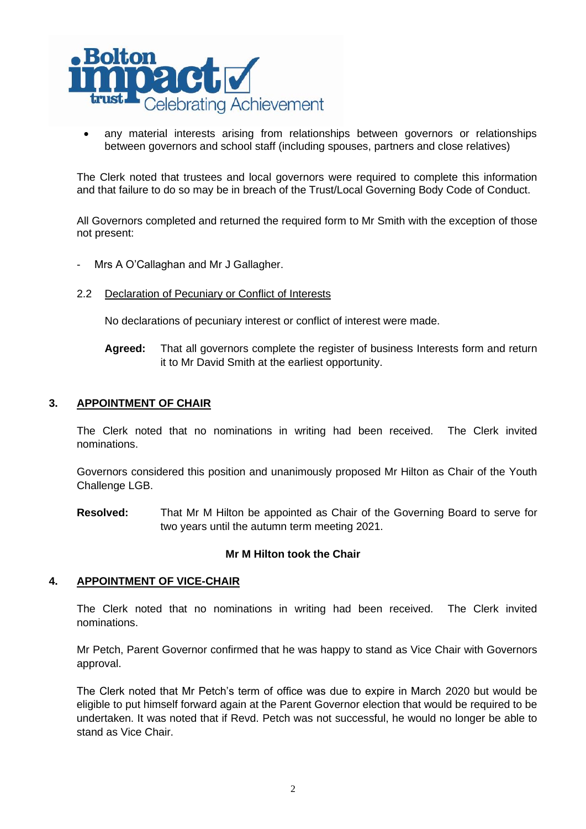

any material interests arising from relationships between governors or relationships between governors and school staff (including spouses, partners and close relatives)

The Clerk noted that trustees and local governors were required to complete this information and that failure to do so may be in breach of the Trust/Local Governing Body Code of Conduct.

All Governors completed and returned the required form to Mr Smith with the exception of those not present:

- Mrs A O'Callaghan and Mr J Gallagher.
- 2.2 Declaration of Pecuniary or Conflict of Interests

No declarations of pecuniary interest or conflict of interest were made.

**Agreed:** That all governors complete the register of business Interests form and return it to Mr David Smith at the earliest opportunity.

## **3. APPOINTMENT OF CHAIR**

The Clerk noted that no nominations in writing had been received. The Clerk invited nominations.

Governors considered this position and unanimously proposed Mr Hilton as Chair of the Youth Challenge LGB.

**Resolved:** That Mr M Hilton be appointed as Chair of the Governing Board to serve for two years until the autumn term meeting 2021.

### **Mr M Hilton took the Chair**

### **4. APPOINTMENT OF VICE-CHAIR**

The Clerk noted that no nominations in writing had been received. The Clerk invited nominations.

Mr Petch, Parent Governor confirmed that he was happy to stand as Vice Chair with Governors approval.

The Clerk noted that Mr Petch's term of office was due to expire in March 2020 but would be eligible to put himself forward again at the Parent Governor election that would be required to be undertaken. It was noted that if Revd. Petch was not successful, he would no longer be able to stand as Vice Chair.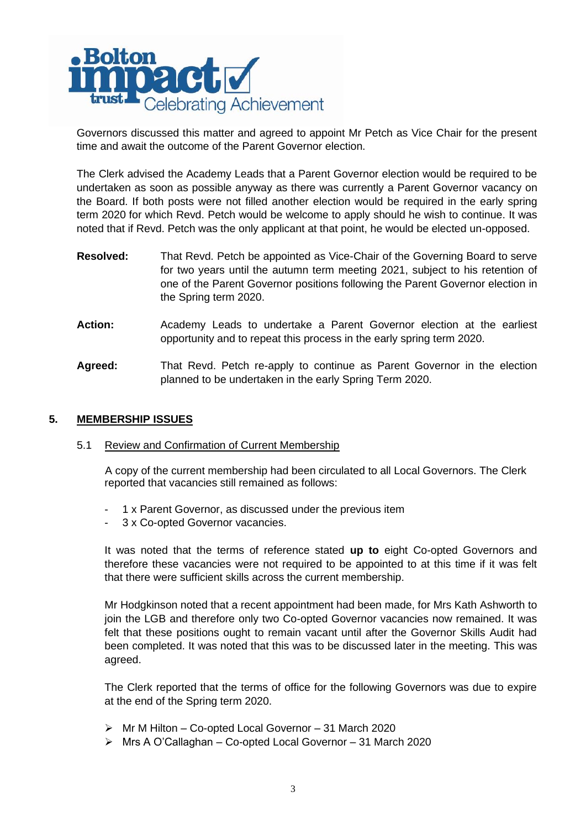

Governors discussed this matter and agreed to appoint Mr Petch as Vice Chair for the present time and await the outcome of the Parent Governor election.

The Clerk advised the Academy Leads that a Parent Governor election would be required to be undertaken as soon as possible anyway as there was currently a Parent Governor vacancy on the Board. If both posts were not filled another election would be required in the early spring term 2020 for which Revd. Petch would be welcome to apply should he wish to continue. It was noted that if Revd. Petch was the only applicant at that point, he would be elected un-opposed.

- **Resolved:** That Revd. Petch be appointed as Vice-Chair of the Governing Board to serve for two years until the autumn term meeting 2021, subject to his retention of one of the Parent Governor positions following the Parent Governor election in the Spring term 2020.
- **Action:** Academy Leads to undertake a Parent Governor election at the earliest opportunity and to repeat this process in the early spring term 2020.
- **Agreed:** That Revd. Petch re-apply to continue as Parent Governor in the election planned to be undertaken in the early Spring Term 2020.

# **5. MEMBERSHIP ISSUES**

### 5.1 Review and Confirmation of Current Membership

A copy of the current membership had been circulated to all Local Governors. The Clerk reported that vacancies still remained as follows:

- 1 x Parent Governor, as discussed under the previous item
- 3 x Co-opted Governor vacancies.

It was noted that the terms of reference stated **up to** eight Co-opted Governors and therefore these vacancies were not required to be appointed to at this time if it was felt that there were sufficient skills across the current membership.

Mr Hodgkinson noted that a recent appointment had been made, for Mrs Kath Ashworth to join the LGB and therefore only two Co-opted Governor vacancies now remained. It was felt that these positions ought to remain vacant until after the Governor Skills Audit had been completed. It was noted that this was to be discussed later in the meeting. This was agreed.

The Clerk reported that the terms of office for the following Governors was due to expire at the end of the Spring term 2020.

- ➢ Mr M Hilton Co-opted Local Governor 31 March 2020
- ➢ Mrs A O'Callaghan Co-opted Local Governor 31 March 2020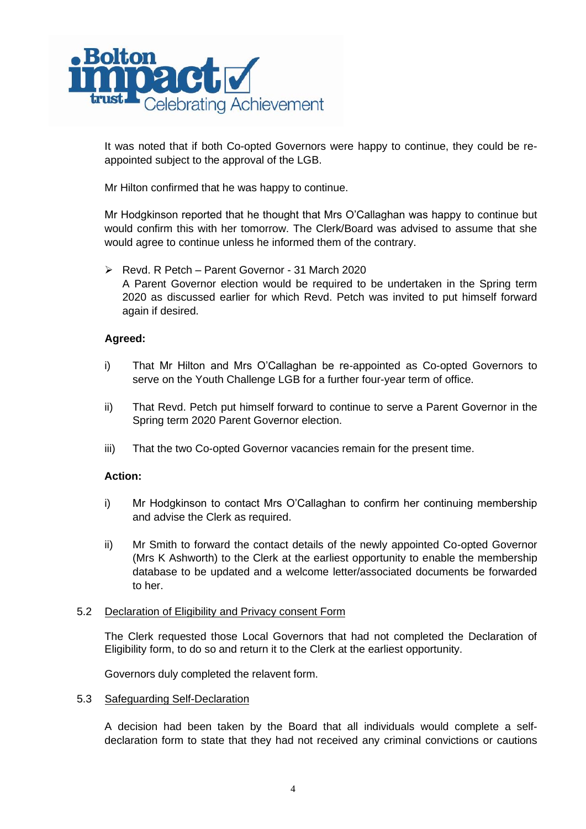

It was noted that if both Co-opted Governors were happy to continue, they could be reappointed subject to the approval of the LGB.

Mr Hilton confirmed that he was happy to continue.

Mr Hodgkinson reported that he thought that Mrs O'Callaghan was happy to continue but would confirm this with her tomorrow. The Clerk/Board was advised to assume that she would agree to continue unless he informed them of the contrary.

➢ Revd. R Petch – Parent Governor - 31 March 2020 A Parent Governor election would be required to be undertaken in the Spring term 2020 as discussed earlier for which Revd. Petch was invited to put himself forward again if desired.

# **Agreed:**

- i) That Mr Hilton and Mrs O'Callaghan be re-appointed as Co-opted Governors to serve on the Youth Challenge LGB for a further four-year term of office.
- ii) That Revd. Petch put himself forward to continue to serve a Parent Governor in the Spring term 2020 Parent Governor election.
- iii) That the two Co-opted Governor vacancies remain for the present time.

# **Action:**

- i) Mr Hodgkinson to contact Mrs O'Callaghan to confirm her continuing membership and advise the Clerk as required.
- ii) Mr Smith to forward the contact details of the newly appointed Co-opted Governor (Mrs K Ashworth) to the Clerk at the earliest opportunity to enable the membership database to be updated and a welcome letter/associated documents be forwarded to her.

### 5.2 Declaration of Eligibility and Privacy consent Form

The Clerk requested those Local Governors that had not completed the Declaration of Eligibility form, to do so and return it to the Clerk at the earliest opportunity.

Governors duly completed the relavent form.

### 5.3 Safeguarding Self-Declaration

A decision had been taken by the Board that all individuals would complete a selfdeclaration form to state that they had not received any criminal convictions or cautions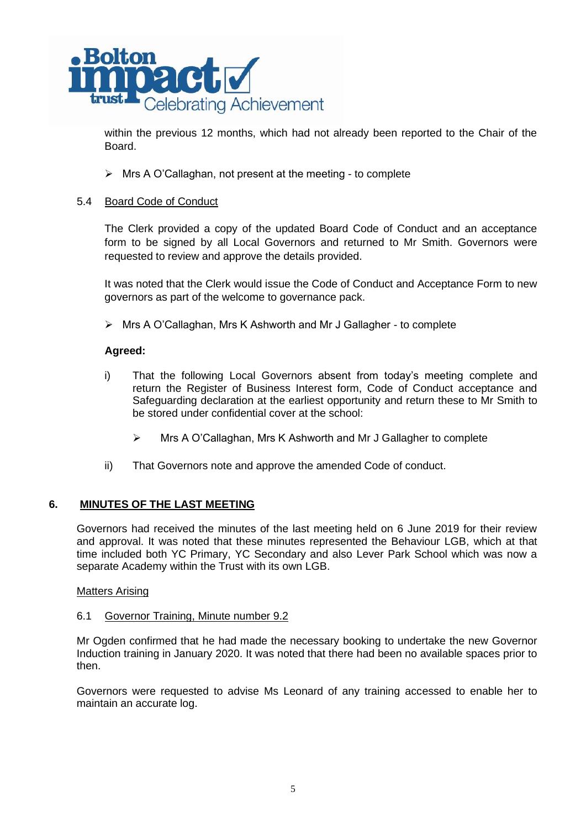

within the previous 12 months, which had not already been reported to the Chair of the Board.

➢ Mrs A O'Callaghan, not present at the meeting - to complete

## 5.4 Board Code of Conduct

The Clerk provided a copy of the updated Board Code of Conduct and an acceptance form to be signed by all Local Governors and returned to Mr Smith. Governors were requested to review and approve the details provided.

It was noted that the Clerk would issue the Code of Conduct and Acceptance Form to new governors as part of the welcome to governance pack.

➢ Mrs A O'Callaghan, Mrs K Ashworth and Mr J Gallagher - to complete

## **Agreed:**

- i) That the following Local Governors absent from today's meeting complete and return the Register of Business Interest form, Code of Conduct acceptance and Safeguarding declaration at the earliest opportunity and return these to Mr Smith to be stored under confidential cover at the school:
	- ➢ Mrs A O'Callaghan, Mrs K Ashworth and Mr J Gallagher to complete
- ii) That Governors note and approve the amended Code of conduct.

# **6. MINUTES OF THE LAST MEETING**

Governors had received the minutes of the last meeting held on 6 June 2019 for their review and approval. It was noted that these minutes represented the Behaviour LGB, which at that time included both YC Primary, YC Secondary and also Lever Park School which was now a separate Academy within the Trust with its own LGB.

### Matters Arising

### 6.1 Governor Training, Minute number 9.2

Mr Ogden confirmed that he had made the necessary booking to undertake the new Governor Induction training in January 2020. It was noted that there had been no available spaces prior to then.

Governors were requested to advise Ms Leonard of any training accessed to enable her to maintain an accurate log.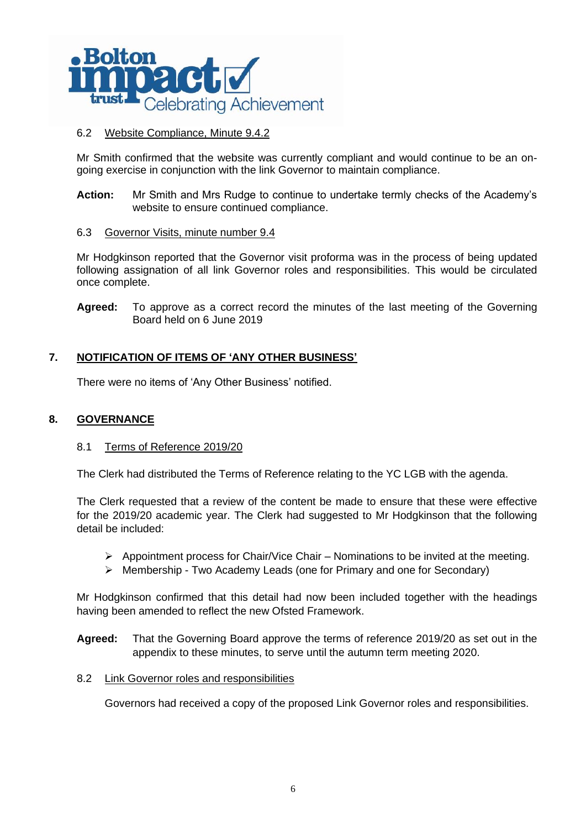

# 6.2 Website Compliance, Minute 9.4.2

Mr Smith confirmed that the website was currently compliant and would continue to be an ongoing exercise in conjunction with the link Governor to maintain compliance.

**Action:** Mr Smith and Mrs Rudge to continue to undertake termly checks of the Academy's website to ensure continued compliance.

## 6.3 Governor Visits, minute number 9.4

Mr Hodgkinson reported that the Governor visit proforma was in the process of being updated following assignation of all link Governor roles and responsibilities. This would be circulated once complete.

**Agreed:** To approve as a correct record the minutes of the last meeting of the Governing Board held on 6 June 2019

# **7. NOTIFICATION OF ITEMS OF 'ANY OTHER BUSINESS'**

There were no items of 'Any Other Business' notified.

## **8. GOVERNANCE**

### 8.1 Terms of Reference 2019/20

The Clerk had distributed the Terms of Reference relating to the YC LGB with the agenda.

The Clerk requested that a review of the content be made to ensure that these were effective for the 2019/20 academic year. The Clerk had suggested to Mr Hodgkinson that the following detail be included:

- $\triangleright$  Appointment process for Chair/Vice Chair Nominations to be invited at the meeting.
- ➢ Membership Two Academy Leads (one for Primary and one for Secondary)

Mr Hodgkinson confirmed that this detail had now been included together with the headings having been amended to reflect the new Ofsted Framework.

**Agreed:** That the Governing Board approve the terms of reference 2019/20 as set out in the appendix to these minutes, to serve until the autumn term meeting 2020.

### 8.2 Link Governor roles and responsibilities

Governors had received a copy of the proposed Link Governor roles and responsibilities.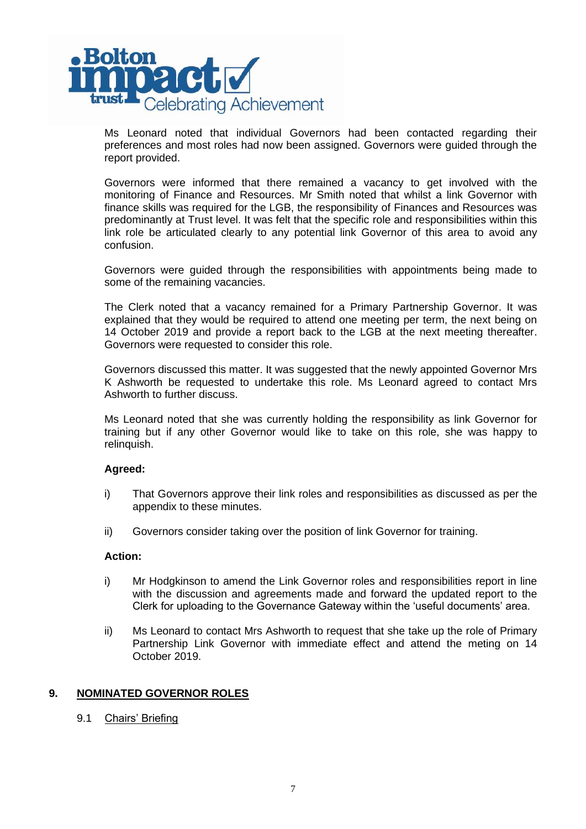

Ms Leonard noted that individual Governors had been contacted regarding their preferences and most roles had now been assigned. Governors were guided through the report provided.

Governors were informed that there remained a vacancy to get involved with the monitoring of Finance and Resources. Mr Smith noted that whilst a link Governor with finance skills was required for the LGB, the responsibility of Finances and Resources was predominantly at Trust level. It was felt that the specific role and responsibilities within this link role be articulated clearly to any potential link Governor of this area to avoid any confusion.

Governors were guided through the responsibilities with appointments being made to some of the remaining vacancies.

The Clerk noted that a vacancy remained for a Primary Partnership Governor. It was explained that they would be required to attend one meeting per term, the next being on 14 October 2019 and provide a report back to the LGB at the next meeting thereafter. Governors were requested to consider this role.

Governors discussed this matter. It was suggested that the newly appointed Governor Mrs K Ashworth be requested to undertake this role. Ms Leonard agreed to contact Mrs Ashworth to further discuss.

Ms Leonard noted that she was currently holding the responsibility as link Governor for training but if any other Governor would like to take on this role, she was happy to relinquish.

### **Agreed:**

- i) That Governors approve their link roles and responsibilities as discussed as per the appendix to these minutes.
- ii) Governors consider taking over the position of link Governor for training.

### **Action:**

- i) Mr Hodgkinson to amend the Link Governor roles and responsibilities report in line with the discussion and agreements made and forward the updated report to the Clerk for uploading to the Governance Gateway within the 'useful documents' area.
- ii) Ms Leonard to contact Mrs Ashworth to request that she take up the role of Primary Partnership Link Governor with immediate effect and attend the meting on 14 October 2019.

### **9. NOMINATED GOVERNOR ROLES**

9.1 Chairs' Briefing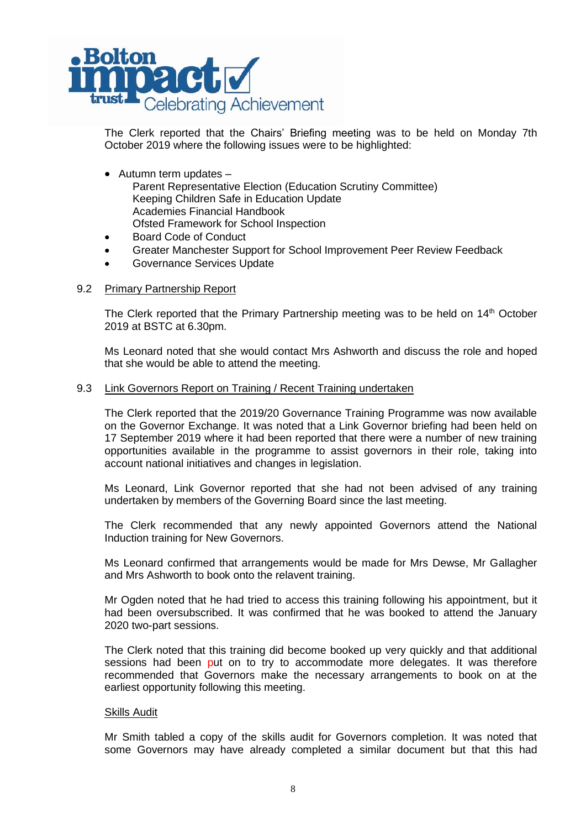

The Clerk reported that the Chairs' Briefing meeting was to be held on Monday 7th October 2019 where the following issues were to be highlighted:

- Autumn term updates Parent Representative Election (Education Scrutiny Committee) Keeping Children Safe in Education Update Academies Financial Handbook Ofsted Framework for School Inspection
- Board Code of Conduct
- Greater Manchester Support for School Improvement Peer Review Feedback
- Governance Services Update

### 9.2 Primary Partnership Report

The Clerk reported that the Primary Partnership meeting was to be held on 14<sup>th</sup> October 2019 at BSTC at 6.30pm.

Ms Leonard noted that she would contact Mrs Ashworth and discuss the role and hoped that she would be able to attend the meeting.

### 9.3 Link Governors Report on Training / Recent Training undertaken

The Clerk reported that the 2019/20 Governance Training Programme was now available on the Governor Exchange. It was noted that a Link Governor briefing had been held on 17 September 2019 where it had been reported that there were a number of new training opportunities available in the programme to assist governors in their role, taking into account national initiatives and changes in legislation.

Ms Leonard, Link Governor reported that she had not been advised of any training undertaken by members of the Governing Board since the last meeting.

The Clerk recommended that any newly appointed Governors attend the National Induction training for New Governors.

Ms Leonard confirmed that arrangements would be made for Mrs Dewse, Mr Gallagher and Mrs Ashworth to book onto the relavent training.

Mr Ogden noted that he had tried to access this training following his appointment, but it had been oversubscribed. It was confirmed that he was booked to attend the January 2020 two-part sessions.

The Clerk noted that this training did become booked up very quickly and that additional sessions had been put on to try to accommodate more delegates. It was therefore recommended that Governors make the necessary arrangements to book on at the earliest opportunity following this meeting.

#### Skills Audit

Mr Smith tabled a copy of the skills audit for Governors completion. It was noted that some Governors may have already completed a similar document but that this had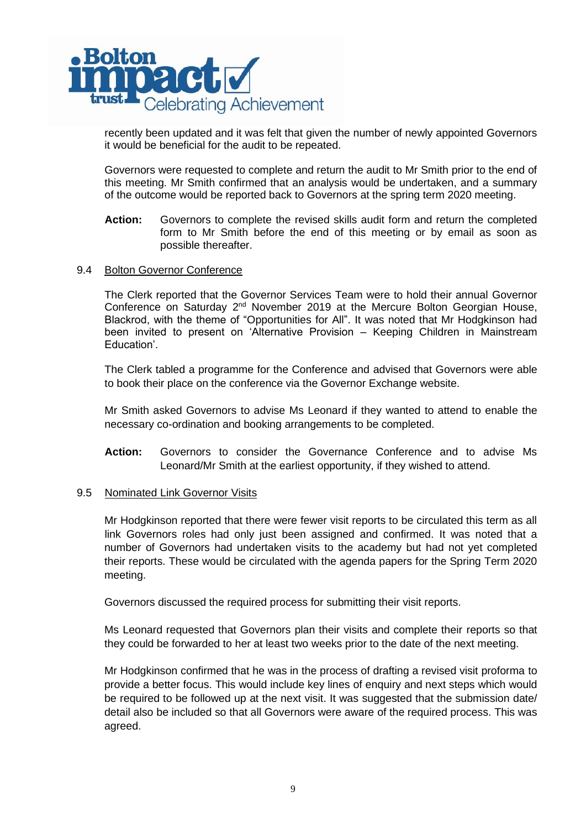

recently been updated and it was felt that given the number of newly appointed Governors it would be beneficial for the audit to be repeated.

Governors were requested to complete and return the audit to Mr Smith prior to the end of this meeting. Mr Smith confirmed that an analysis would be undertaken, and a summary of the outcome would be reported back to Governors at the spring term 2020 meeting.

**Action:** Governors to complete the revised skills audit form and return the completed form to Mr Smith before the end of this meeting or by email as soon as possible thereafter.

### 9.4 Bolton Governor Conference

The Clerk reported that the Governor Services Team were to hold their annual Governor Conference on Saturday 2<sup>nd</sup> November 2019 at the Mercure Bolton Georgian House, Blackrod, with the theme of "Opportunities for All". It was noted that Mr Hodgkinson had been invited to present on 'Alternative Provision – Keeping Children in Mainstream Education'.

The Clerk tabled a programme for the Conference and advised that Governors were able to book their place on the conference via the Governor Exchange website.

Mr Smith asked Governors to advise Ms Leonard if they wanted to attend to enable the necessary co-ordination and booking arrangements to be completed.

**Action:** Governors to consider the Governance Conference and to advise Ms Leonard/Mr Smith at the earliest opportunity, if they wished to attend.

### 9.5 Nominated Link Governor Visits

Mr Hodgkinson reported that there were fewer visit reports to be circulated this term as all link Governors roles had only just been assigned and confirmed. It was noted that a number of Governors had undertaken visits to the academy but had not yet completed their reports. These would be circulated with the agenda papers for the Spring Term 2020 meeting.

Governors discussed the required process for submitting their visit reports.

Ms Leonard requested that Governors plan their visits and complete their reports so that they could be forwarded to her at least two weeks prior to the date of the next meeting.

Mr Hodgkinson confirmed that he was in the process of drafting a revised visit proforma to provide a better focus. This would include key lines of enquiry and next steps which would be required to be followed up at the next visit. It was suggested that the submission date/ detail also be included so that all Governors were aware of the required process. This was agreed.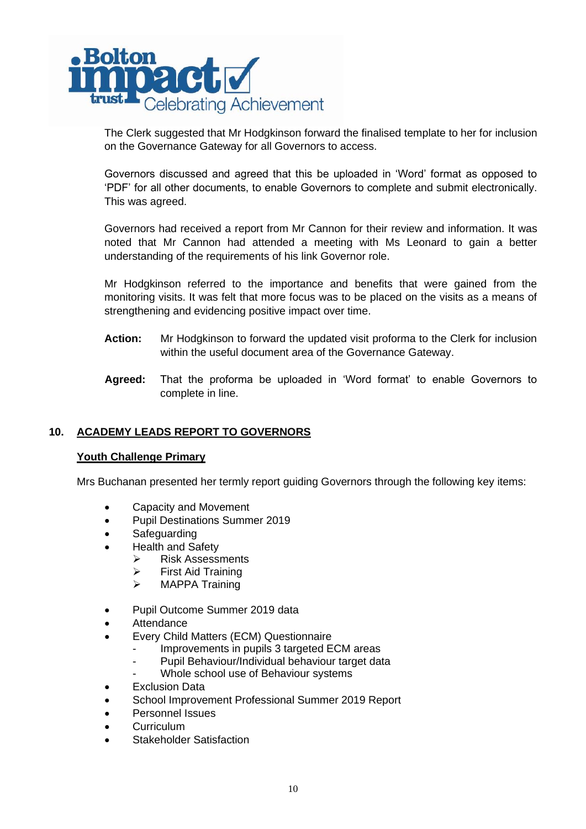

The Clerk suggested that Mr Hodgkinson forward the finalised template to her for inclusion on the Governance Gateway for all Governors to access.

Governors discussed and agreed that this be uploaded in 'Word' format as opposed to 'PDF' for all other documents, to enable Governors to complete and submit electronically. This was agreed.

Governors had received a report from Mr Cannon for their review and information. It was noted that Mr Cannon had attended a meeting with Ms Leonard to gain a better understanding of the requirements of his link Governor role.

Mr Hodgkinson referred to the importance and benefits that were gained from the monitoring visits. It was felt that more focus was to be placed on the visits as a means of strengthening and evidencing positive impact over time.

- **Action:** Mr Hodgkinson to forward the updated visit proforma to the Clerk for inclusion within the useful document area of the Governance Gateway.
- **Agreed:** That the proforma be uploaded in 'Word format' to enable Governors to complete in line.

# **10. ACADEMY LEADS REPORT TO GOVERNORS**

# **Youth Challenge Primary**

Mrs Buchanan presented her termly report guiding Governors through the following key items:

- Capacity and Movement
- Pupil Destinations Summer 2019
- Safeguarding
- Health and Safety
	- ➢ Risk Assessments
	- ➢ First Aid Training
	- ➢ MAPPA Training
- Pupil Outcome Summer 2019 data
- Attendance
- Every Child Matters (ECM) Questionnaire
	- Improvements in pupils 3 targeted ECM areas
		- Pupil Behaviour/Individual behaviour target data
	- Whole school use of Behaviour systems
- **Exclusion Data**
- School Improvement Professional Summer 2019 Report
- Personnel Issues
- Curriculum
- Stakeholder Satisfaction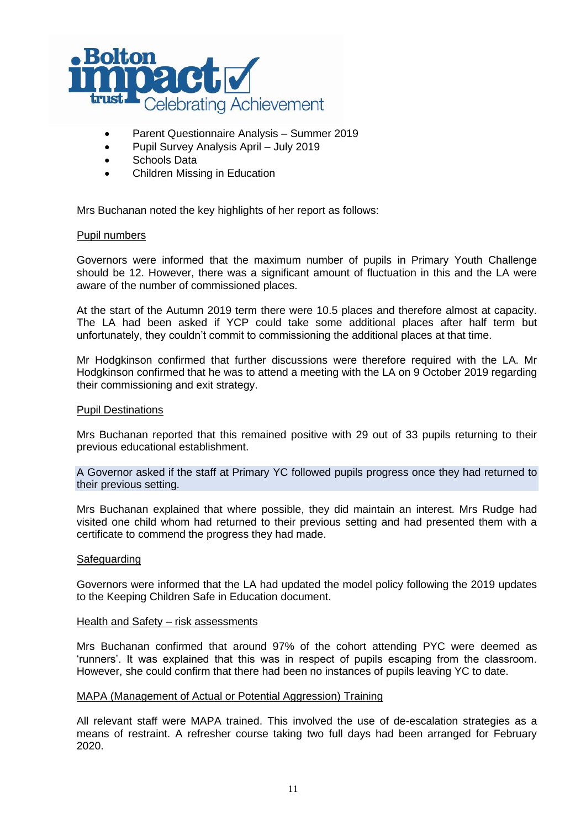

- Parent Questionnaire Analysis Summer 2019
- Pupil Survey Analysis April July 2019
- Schools Data
- Children Missing in Education

Mrs Buchanan noted the key highlights of her report as follows:

#### Pupil numbers

Governors were informed that the maximum number of pupils in Primary Youth Challenge should be 12. However, there was a significant amount of fluctuation in this and the LA were aware of the number of commissioned places.

At the start of the Autumn 2019 term there were 10.5 places and therefore almost at capacity. The LA had been asked if YCP could take some additional places after half term but unfortunately, they couldn't commit to commissioning the additional places at that time.

Mr Hodgkinson confirmed that further discussions were therefore required with the LA. Mr Hodgkinson confirmed that he was to attend a meeting with the LA on 9 October 2019 regarding their commissioning and exit strategy.

#### Pupil Destinations

Mrs Buchanan reported that this remained positive with 29 out of 33 pupils returning to their previous educational establishment.

A Governor asked if the staff at Primary YC followed pupils progress once they had returned to their previous setting.

Mrs Buchanan explained that where possible, they did maintain an interest. Mrs Rudge had visited one child whom had returned to their previous setting and had presented them with a certificate to commend the progress they had made.

#### **Safeguarding**

Governors were informed that the LA had updated the model policy following the 2019 updates to the Keeping Children Safe in Education document.

#### Health and Safety – risk assessments

Mrs Buchanan confirmed that around 97% of the cohort attending PYC were deemed as 'runners'. It was explained that this was in respect of pupils escaping from the classroom. However, she could confirm that there had been no instances of pupils leaving YC to date.

#### MAPA (Management of Actual or Potential Aggression) Training

All relevant staff were MAPA trained. This involved the use of de-escalation strategies as a means of restraint. A refresher course taking two full days had been arranged for February 2020.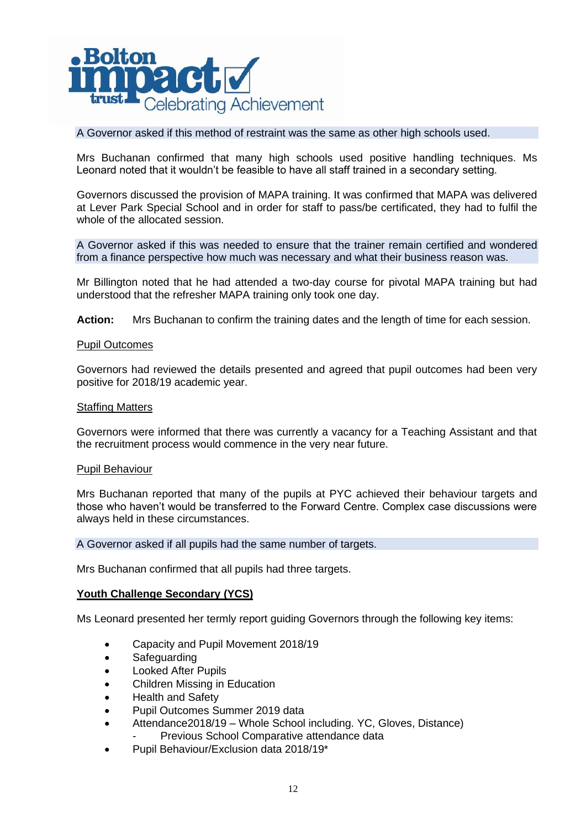

## A Governor asked if this method of restraint was the same as other high schools used.

Mrs Buchanan confirmed that many high schools used positive handling techniques. Ms Leonard noted that it wouldn't be feasible to have all staff trained in a secondary setting.

Governors discussed the provision of MAPA training. It was confirmed that MAPA was delivered at Lever Park Special School and in order for staff to pass/be certificated, they had to fulfil the whole of the allocated session.

A Governor asked if this was needed to ensure that the trainer remain certified and wondered from a finance perspective how much was necessary and what their business reason was.

Mr Billington noted that he had attended a two-day course for pivotal MAPA training but had understood that the refresher MAPA training only took one day.

**Action:** Mrs Buchanan to confirm the training dates and the length of time for each session.

#### Pupil Outcomes

Governors had reviewed the details presented and agreed that pupil outcomes had been very positive for 2018/19 academic year.

#### Staffing Matters

Governors were informed that there was currently a vacancy for a Teaching Assistant and that the recruitment process would commence in the very near future.

#### Pupil Behaviour

Mrs Buchanan reported that many of the pupils at PYC achieved their behaviour targets and those who haven't would be transferred to the Forward Centre. Complex case discussions were always held in these circumstances.

#### A Governor asked if all pupils had the same number of targets.

Mrs Buchanan confirmed that all pupils had three targets.

### **Youth Challenge Secondary (YCS)**

Ms Leonard presented her termly report guiding Governors through the following key items:

- Capacity and Pupil Movement 2018/19
- Safeguarding
- Looked After Pupils
- Children Missing in Education
- Health and Safety
- Pupil Outcomes Summer 2019 data
	- Attendance2018/19 Whole School including. YC, Gloves, Distance) Previous School Comparative attendance data
- Pupil Behaviour/Exclusion data 2018/19\*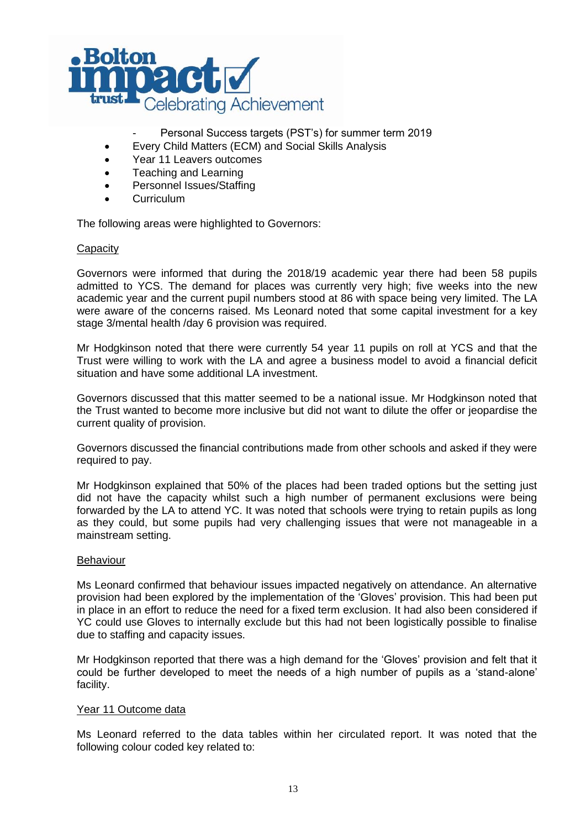

- Personal Success targets (PST's) for summer term 2019
- Every Child Matters (ECM) and Social Skills Analysis
- Year 11 Leavers outcomes
- Teaching and Learning
- Personnel Issues/Staffing
- Curriculum

The following areas were highlighted to Governors:

## **Capacity**

Governors were informed that during the 2018/19 academic year there had been 58 pupils admitted to YCS. The demand for places was currently very high; five weeks into the new academic year and the current pupil numbers stood at 86 with space being very limited. The LA were aware of the concerns raised. Ms Leonard noted that some capital investment for a key stage 3/mental health /day 6 provision was required.

Mr Hodgkinson noted that there were currently 54 year 11 pupils on roll at YCS and that the Trust were willing to work with the LA and agree a business model to avoid a financial deficit situation and have some additional LA investment.

Governors discussed that this matter seemed to be a national issue. Mr Hodgkinson noted that the Trust wanted to become more inclusive but did not want to dilute the offer or jeopardise the current quality of provision.

Governors discussed the financial contributions made from other schools and asked if they were required to pay.

Mr Hodgkinson explained that 50% of the places had been traded options but the setting just did not have the capacity whilst such a high number of permanent exclusions were being forwarded by the LA to attend YC. It was noted that schools were trying to retain pupils as long as they could, but some pupils had very challenging issues that were not manageable in a mainstream setting.

### Behaviour

Ms Leonard confirmed that behaviour issues impacted negatively on attendance. An alternative provision had been explored by the implementation of the 'Gloves' provision. This had been put in place in an effort to reduce the need for a fixed term exclusion. It had also been considered if YC could use Gloves to internally exclude but this had not been logistically possible to finalise due to staffing and capacity issues.

Mr Hodgkinson reported that there was a high demand for the 'Gloves' provision and felt that it could be further developed to meet the needs of a high number of pupils as a 'stand-alone' facility.

### Year 11 Outcome data

Ms Leonard referred to the data tables within her circulated report. It was noted that the following colour coded key related to: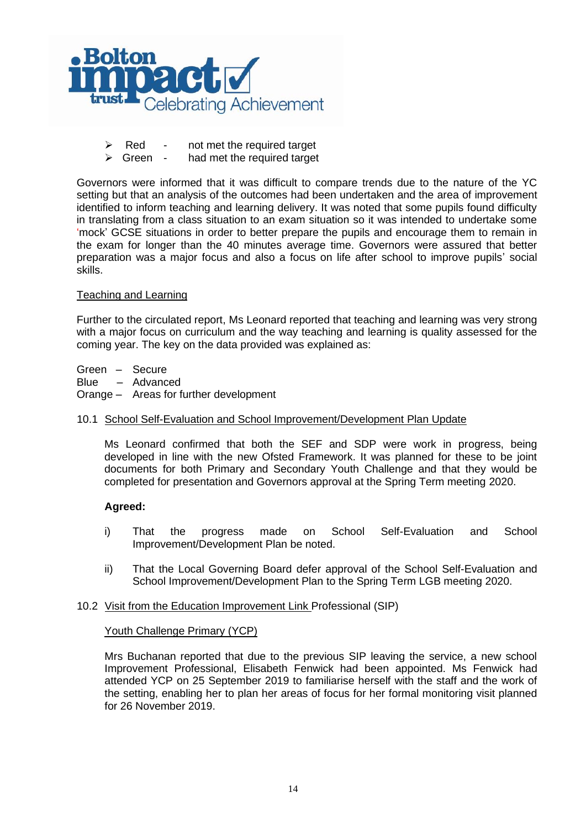

- $\triangleright$  Red not met the required target
- $\triangleright$  Green had met the required target

Governors were informed that it was difficult to compare trends due to the nature of the YC setting but that an analysis of the outcomes had been undertaken and the area of improvement identified to inform teaching and learning delivery. It was noted that some pupils found difficulty in translating from a class situation to an exam situation so it was intended to undertake some 'mock' GCSE situations in order to better prepare the pupils and encourage them to remain in the exam for longer than the 40 minutes average time. Governors were assured that better preparation was a major focus and also a focus on life after school to improve pupils' social skills.

### Teaching and Learning

Further to the circulated report, Ms Leonard reported that teaching and learning was very strong with a major focus on curriculum and the way teaching and learning is quality assessed for the coming year. The key on the data provided was explained as:

Green – Secure Blue – Advanced Orange – Areas for further development

### 10.1 School Self-Evaluation and School Improvement/Development Plan Update

Ms Leonard confirmed that both the SEF and SDP were work in progress, being developed in line with the new Ofsted Framework. It was planned for these to be joint documents for both Primary and Secondary Youth Challenge and that they would be completed for presentation and Governors approval at the Spring Term meeting 2020.

### **Agreed:**

- i) That the progress made on School Self-Evaluation and School Improvement/Development Plan be noted.
- ii) That the Local Governing Board defer approval of the School Self-Evaluation and School Improvement/Development Plan to the Spring Term LGB meeting 2020.

### 10.2 Visit from the Education Improvement Link Professional (SIP)

### Youth Challenge Primary (YCP)

Mrs Buchanan reported that due to the previous SIP leaving the service, a new school Improvement Professional, Elisabeth Fenwick had been appointed. Ms Fenwick had attended YCP on 25 September 2019 to familiarise herself with the staff and the work of the setting, enabling her to plan her areas of focus for her formal monitoring visit planned for 26 November 2019.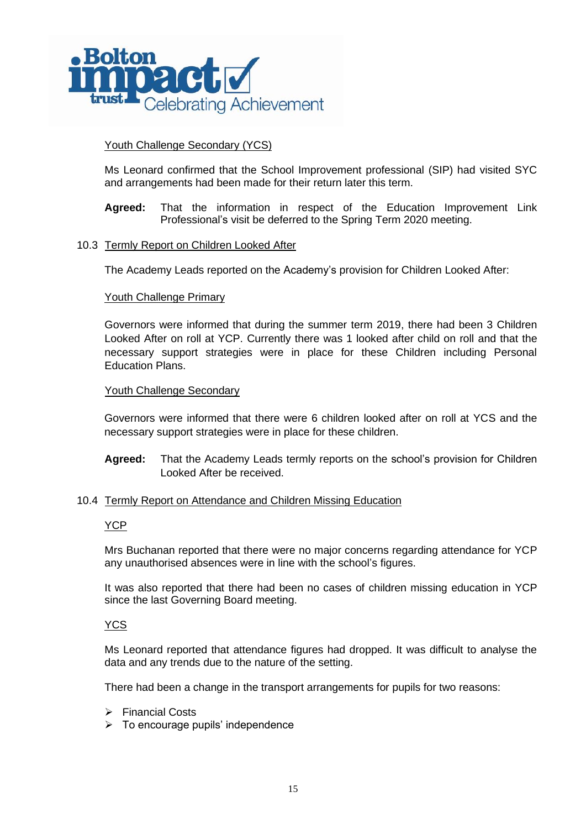

## Youth Challenge Secondary (YCS)

Ms Leonard confirmed that the School Improvement professional (SIP) had visited SYC and arrangements had been made for their return later this term.

**Agreed:** That the information in respect of the Education Improvement Link Professional's visit be deferred to the Spring Term 2020 meeting.

### 10.3 Termly Report on Children Looked After

The Academy Leads reported on the Academy's provision for Children Looked After:

### Youth Challenge Primary

Governors were informed that during the summer term 2019, there had been 3 Children Looked After on roll at YCP. Currently there was 1 looked after child on roll and that the necessary support strategies were in place for these Children including Personal Education Plans.

### Youth Challenge Secondary

Governors were informed that there were 6 children looked after on roll at YCS and the necessary support strategies were in place for these children.

**Agreed:** That the Academy Leads termly reports on the school's provision for Children Looked After be received.

### 10.4 Termly Report on Attendance and Children Missing Education

### **YCP**

Mrs Buchanan reported that there were no major concerns regarding attendance for YCP any unauthorised absences were in line with the school's figures.

It was also reported that there had been no cases of children missing education in YCP since the last Governing Board meeting.

## YCS

Ms Leonard reported that attendance figures had dropped. It was difficult to analyse the data and any trends due to the nature of the setting.

There had been a change in the transport arrangements for pupils for two reasons:

- ➢ Financial Costs
- $\triangleright$  To encourage pupils' independence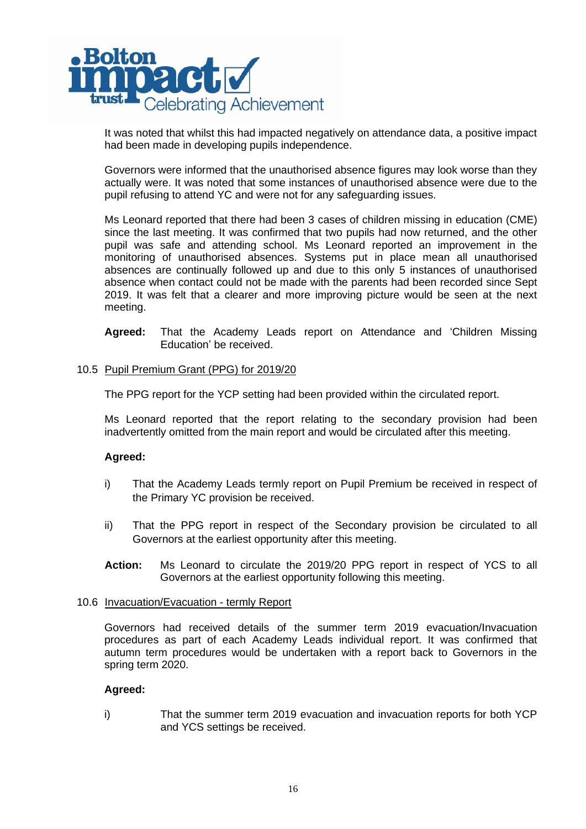

It was noted that whilst this had impacted negatively on attendance data, a positive impact had been made in developing pupils independence.

Governors were informed that the unauthorised absence figures may look worse than they actually were. It was noted that some instances of unauthorised absence were due to the pupil refusing to attend YC and were not for any safeguarding issues.

Ms Leonard reported that there had been 3 cases of children missing in education (CME) since the last meeting. It was confirmed that two pupils had now returned, and the other pupil was safe and attending school. Ms Leonard reported an improvement in the monitoring of unauthorised absences. Systems put in place mean all unauthorised absences are continually followed up and due to this only 5 instances of unauthorised absence when contact could not be made with the parents had been recorded since Sept 2019. It was felt that a clearer and more improving picture would be seen at the next meeting.

**Agreed:** That the Academy Leads report on Attendance and 'Children Missing Education' be received.

### 10.5 Pupil Premium Grant (PPG) for 2019/20

The PPG report for the YCP setting had been provided within the circulated report.

Ms Leonard reported that the report relating to the secondary provision had been inadvertently omitted from the main report and would be circulated after this meeting.

### **Agreed:**

- i) That the Academy Leads termly report on Pupil Premium be received in respect of the Primary YC provision be received.
- ii) That the PPG report in respect of the Secondary provision be circulated to all Governors at the earliest opportunity after this meeting.
- **Action:** Ms Leonard to circulate the 2019/20 PPG report in respect of YCS to all Governors at the earliest opportunity following this meeting.

### 10.6 Invacuation/Evacuation - termly Report

Governors had received details of the summer term 2019 evacuation/Invacuation procedures as part of each Academy Leads individual report. It was confirmed that autumn term procedures would be undertaken with a report back to Governors in the spring term 2020.

### **Agreed:**

i) That the summer term 2019 evacuation and invacuation reports for both YCP and YCS settings be received.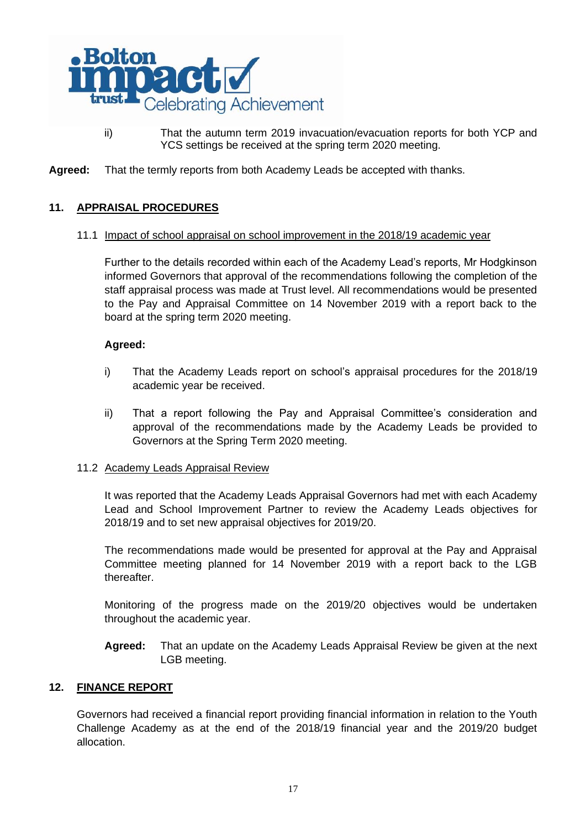

- ii) That the autumn term 2019 invacuation/evacuation reports for both YCP and YCS settings be received at the spring term 2020 meeting.
- **Agreed:** That the termly reports from both Academy Leads be accepted with thanks.

# **11. APPRAISAL PROCEDURES**

## 11.1 Impact of school appraisal on school improvement in the 2018/19 academic year

Further to the details recorded within each of the Academy Lead's reports, Mr Hodgkinson informed Governors that approval of the recommendations following the completion of the staff appraisal process was made at Trust level. All recommendations would be presented to the Pay and Appraisal Committee on 14 November 2019 with a report back to the board at the spring term 2020 meeting.

# **Agreed:**

- i) That the Academy Leads report on school's appraisal procedures for the 2018/19 academic year be received.
- ii) That a report following the Pay and Appraisal Committee's consideration and approval of the recommendations made by the Academy Leads be provided to Governors at the Spring Term 2020 meeting.

### 11.2 Academy Leads Appraisal Review

It was reported that the Academy Leads Appraisal Governors had met with each Academy Lead and School Improvement Partner to review the Academy Leads objectives for 2018/19 and to set new appraisal objectives for 2019/20.

The recommendations made would be presented for approval at the Pay and Appraisal Committee meeting planned for 14 November 2019 with a report back to the LGB thereafter.

Monitoring of the progress made on the 2019/20 objectives would be undertaken throughout the academic year.

**Agreed:** That an update on the Academy Leads Appraisal Review be given at the next LGB meeting.

# **12. FINANCE REPORT**

Governors had received a financial report providing financial information in relation to the Youth Challenge Academy as at the end of the 2018/19 financial year and the 2019/20 budget allocation.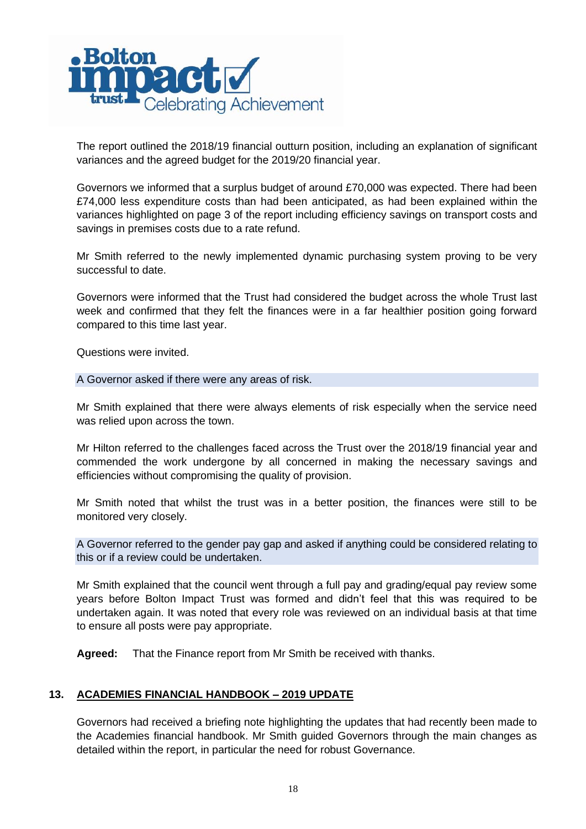

The report outlined the 2018/19 financial outturn position, including an explanation of significant variances and the agreed budget for the 2019/20 financial year.

Governors we informed that a surplus budget of around £70,000 was expected. There had been £74,000 less expenditure costs than had been anticipated, as had been explained within the variances highlighted on page 3 of the report including efficiency savings on transport costs and savings in premises costs due to a rate refund.

Mr Smith referred to the newly implemented dynamic purchasing system proving to be very successful to date.

Governors were informed that the Trust had considered the budget across the whole Trust last week and confirmed that they felt the finances were in a far healthier position going forward compared to this time last year.

Questions were invited.

## A Governor asked if there were any areas of risk.

Mr Smith explained that there were always elements of risk especially when the service need was relied upon across the town.

Mr Hilton referred to the challenges faced across the Trust over the 2018/19 financial year and commended the work undergone by all concerned in making the necessary savings and efficiencies without compromising the quality of provision.

Mr Smith noted that whilst the trust was in a better position, the finances were still to be monitored very closely.

A Governor referred to the gender pay gap and asked if anything could be considered relating to this or if a review could be undertaken.

Mr Smith explained that the council went through a full pay and grading/equal pay review some years before Bolton Impact Trust was formed and didn't feel that this was required to be undertaken again. It was noted that every role was reviewed on an individual basis at that time to ensure all posts were pay appropriate.

**Agreed:** That the Finance report from Mr Smith be received with thanks.

# **13. ACADEMIES FINANCIAL HANDBOOK – 2019 UPDATE**

Governors had received a briefing note highlighting the updates that had recently been made to the Academies financial handbook. Mr Smith guided Governors through the main changes as detailed within the report, in particular the need for robust Governance.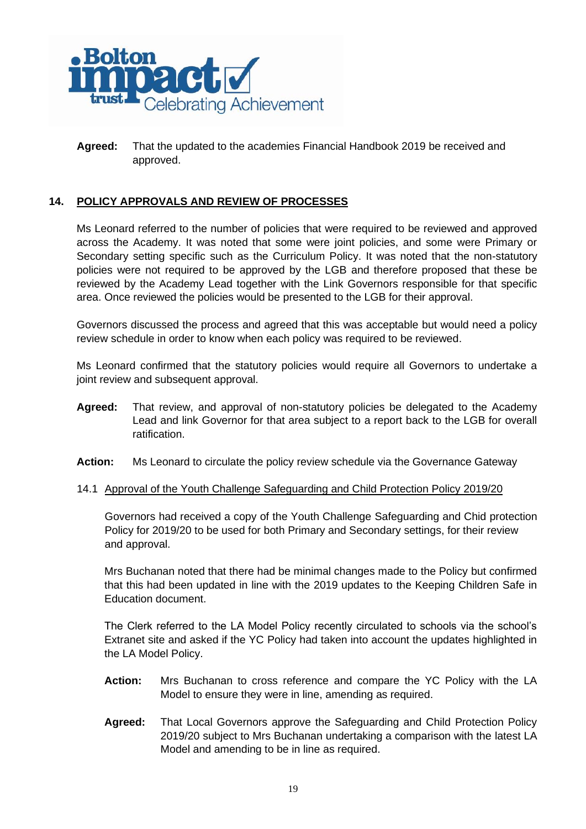

**Agreed:** That the updated to the academies Financial Handbook 2019 be received and approved.

# **14. POLICY APPROVALS AND REVIEW OF PROCESSES**

Ms Leonard referred to the number of policies that were required to be reviewed and approved across the Academy. It was noted that some were joint policies, and some were Primary or Secondary setting specific such as the Curriculum Policy. It was noted that the non-statutory policies were not required to be approved by the LGB and therefore proposed that these be reviewed by the Academy Lead together with the Link Governors responsible for that specific area. Once reviewed the policies would be presented to the LGB for their approval.

Governors discussed the process and agreed that this was acceptable but would need a policy review schedule in order to know when each policy was required to be reviewed.

Ms Leonard confirmed that the statutory policies would require all Governors to undertake a joint review and subsequent approval.

- **Agreed:** That review, and approval of non-statutory policies be delegated to the Academy Lead and link Governor for that area subject to a report back to the LGB for overall ratification.
- **Action:** Ms Leonard to circulate the policy review schedule via the Governance Gateway
- 14.1 Approval of the Youth Challenge Safeguarding and Child Protection Policy 2019/20

Governors had received a copy of the Youth Challenge Safeguarding and Chid protection Policy for 2019/20 to be used for both Primary and Secondary settings, for their review and approval.

Mrs Buchanan noted that there had be minimal changes made to the Policy but confirmed that this had been updated in line with the 2019 updates to the Keeping Children Safe in Education document.

The Clerk referred to the LA Model Policy recently circulated to schools via the school's Extranet site and asked if the YC Policy had taken into account the updates highlighted in the LA Model Policy.

- **Action:** Mrs Buchanan to cross reference and compare the YC Policy with the LA Model to ensure they were in line, amending as required.
- **Agreed:** That Local Governors approve the Safeguarding and Child Protection Policy 2019/20 subject to Mrs Buchanan undertaking a comparison with the latest LA Model and amending to be in line as required.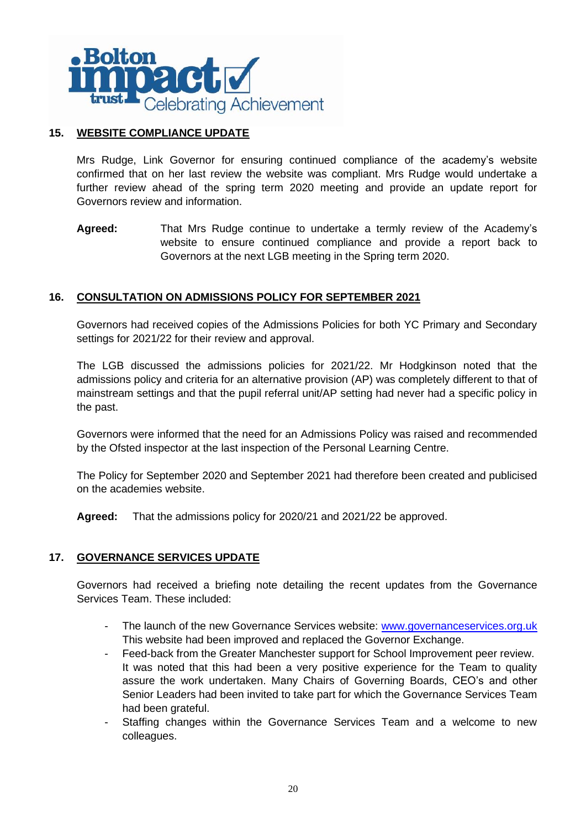

# **15. WEBSITE COMPLIANCE UPDATE**

Mrs Rudge, Link Governor for ensuring continued compliance of the academy's website confirmed that on her last review the website was compliant. Mrs Rudge would undertake a further review ahead of the spring term 2020 meeting and provide an update report for Governors review and information.

**Agreed:** That Mrs Rudge continue to undertake a termly review of the Academy's website to ensure continued compliance and provide a report back to Governors at the next LGB meeting in the Spring term 2020.

# **16. CONSULTATION ON ADMISSIONS POLICY FOR SEPTEMBER 2021**

Governors had received copies of the Admissions Policies for both YC Primary and Secondary settings for 2021/22 for their review and approval.

The LGB discussed the admissions policies for 2021/22. Mr Hodgkinson noted that the admissions policy and criteria for an alternative provision (AP) was completely different to that of mainstream settings and that the pupil referral unit/AP setting had never had a specific policy in the past.

Governors were informed that the need for an Admissions Policy was raised and recommended by the Ofsted inspector at the last inspection of the Personal Learning Centre.

The Policy for September 2020 and September 2021 had therefore been created and publicised on the academies website.

**Agreed:** That the admissions policy for 2020/21 and 2021/22 be approved.

# **17. GOVERNANCE SERVICES UPDATE**

Governors had received a briefing note detailing the recent updates from the Governance Services Team. These included:

- The launch of the new Governance Services website: www.governanceservices.org.uk This website had been improved and replaced the Governor Exchange.
- Feed-back from the Greater Manchester support for School Improvement peer review. It was noted that this had been a very positive experience for the Team to quality assure the work undertaken. Many Chairs of Governing Boards, CEO's and other Senior Leaders had been invited to take part for which the Governance Services Team had been grateful.
- Staffing changes within the Governance Services Team and a welcome to new colleagues.